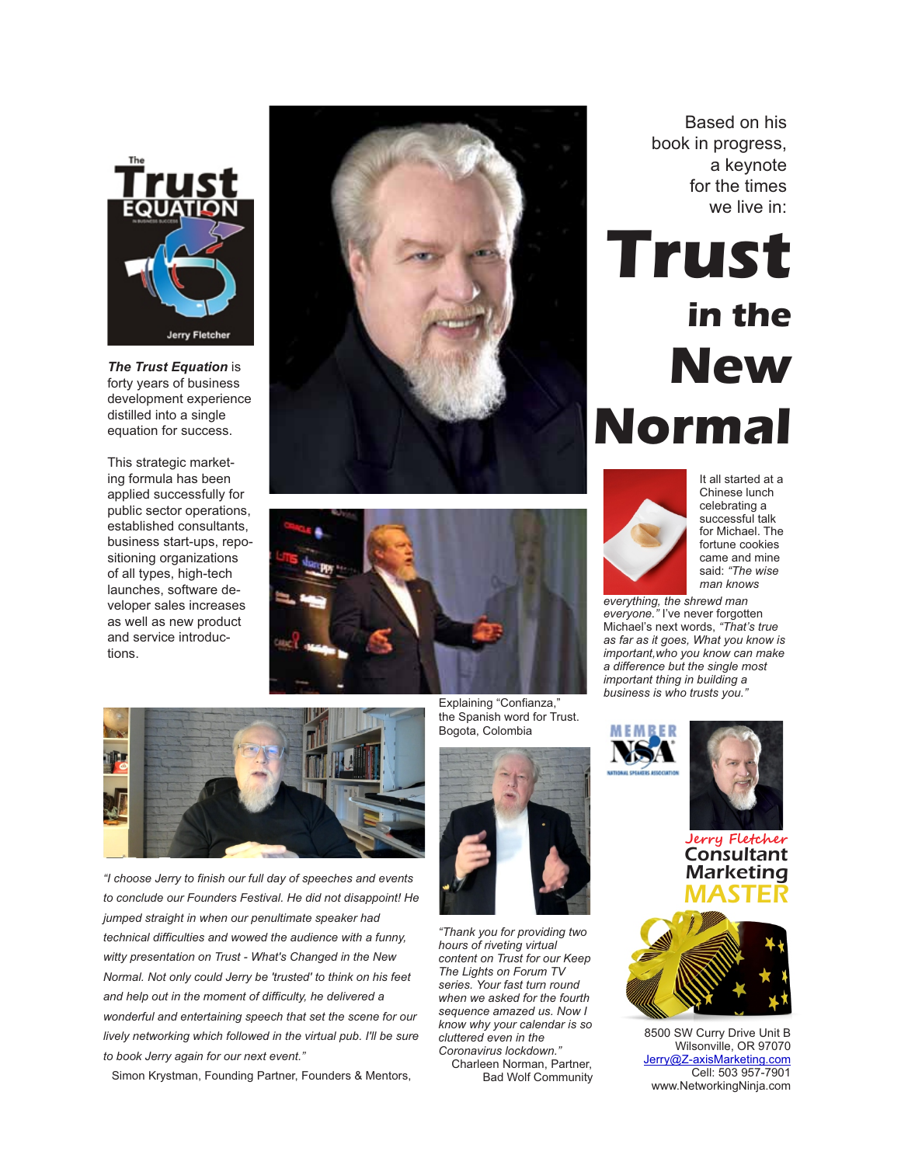

*The Trust Equation* is forty years of business development experience distilled into a single equation for success.

This strategic marketing formula has been applied successfully for public sector operations, established consultants, business start-ups, repositioning organizations of all types, high-tech launches, software developer sales increases as well as new product and service introductions.







*"I choose Jerry to finish our full day of speeches and events to conclude our Founders Festival. He did not disappoint! He jumped straight in when our penultimate speaker had technical difficulties and wowed the audience with a funny, witty presentation on Trust - What's Changed in the New Normal. Not only could Jerry be 'trusted' to think on his feet and help out in the moment of difficulty, he delivered a wonderful and entertaining speech that set the scene for our lively networking which followed in the virtual pub. I'll be sure to book Jerry again for our next event."*

Simon Krystman, Founding Partner, Founders & Mentors,

Explaining "Confianza," the Spanish word for Trust. Bogota, Colombia



*"Thank you for providing two hours of riveting virtual content on Trust for our Keep The Lights on Forum TV series. Your fast turn round when we asked for the fourth sequence amazed us. Now I know why your calendar is so cluttered even in the Coronavirus lockdown."* 

 Charleen Norman, Partner, Bad Wolf Community

Based on his book in progress, a keynote for the times we live in:

# **Trust in the New Normal**



It all started at a Chinese lunch celebrating a successful talk for Michael. The fortune cookies came and mine said: *"The wise man knows* 

*everything, the shrewd man everyone."* I've never forgotten Michael's next words, *"That's true as far as it goes, What you know is important,who you know can make a difference but the single most important thing in building a business is who trusts you."* 



8500 SW Curry Drive Unit B Wilsonville, OR 97070 [Jerry@Z-axisMarketing.com](mailto:Jerry@Z-axisMarketing.com) Cell: 503 957-7901 www.NetworkingNinja.com